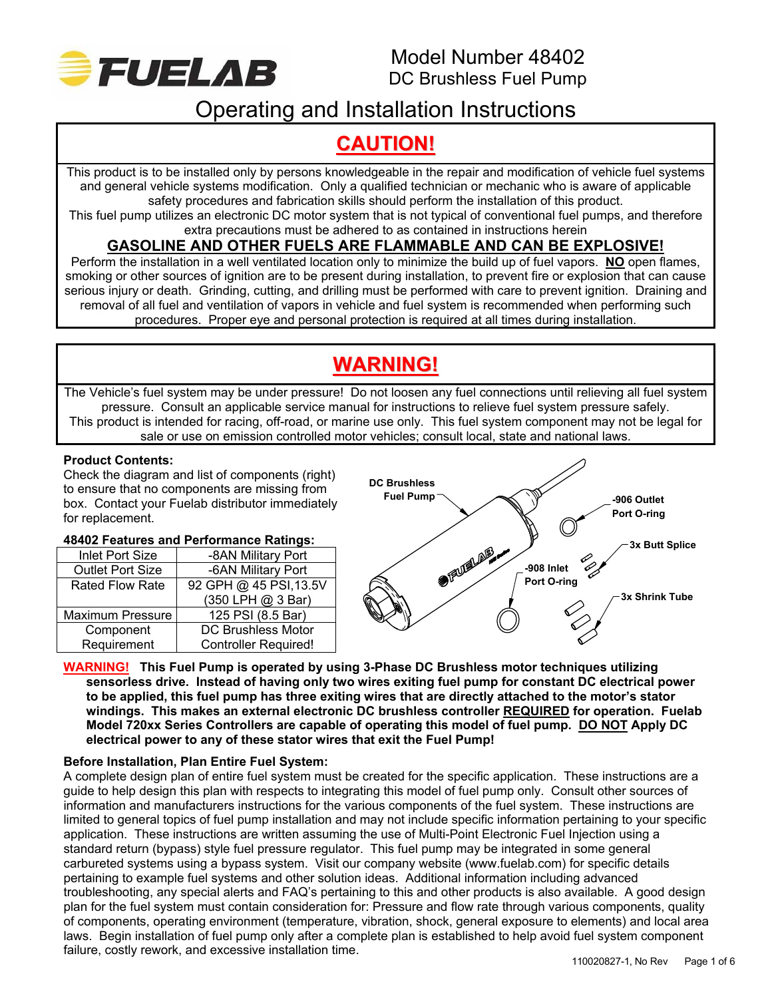

# Operating and Installation Instructions

# **CAUTION!**

This product is to be installed only by persons knowledgeable in the repair and modification of vehicle fuel systems and general vehicle systems modification. Only a qualified technician or mechanic who is aware of applicable safety procedures and fabrication skills should perform the installation of this product.

This fuel pump utilizes an electronic DC motor system that is not typical of conventional fuel pumps, and therefore extra precautions must be adhered to as contained in instructions herein

# **GASOLINE AND OTHER FUELS ARE FLAMMABLE AND CAN BE EXPLOSIVE!**

Perform the installation in a well ventilated location only to minimize the build up of fuel vapors. **NO** open flames, smoking or other sources of ignition are to be present during installation, to prevent fire or explosion that can cause serious injury or death. Grinding, cutting, and drilling must be performed with care to prevent ignition. Draining and removal of all fuel and ventilation of vapors in vehicle and fuel system is recommended when performing such procedures. Proper eye and personal protection is required at all times during installation.

# **WARNING!**

The Vehicle's fuel system may be under pressure! Do not loosen any fuel connections until relieving all fuel system pressure. Consult an applicable service manual for instructions to relieve fuel system pressure safely. This product is intended for racing, off-road, or marine use only. This fuel system component may not be legal for sale or use on emission controlled motor vehicles; consult local, state and national laws.

## **Product Contents:**

Check the diagram and list of components (right) to ensure that no components are missing from box. Contact your Fuelab distributor immediately for replacement.

## **48402 Features and Performance Ratings:**

| <b>Inlet Port Size</b>                 | -8AN Military Port          |  |
|----------------------------------------|-----------------------------|--|
| <b>Outlet Port Size</b>                | -6AN Military Port          |  |
| <b>Rated Flow Rate</b>                 | 92 GPH @ 45 PSI, 13.5V      |  |
|                                        | (350 LPH @ 3 Bar)           |  |
| <b>Maximum Pressure</b>                | 125 PSI (8.5 Bar)           |  |
| <b>DC Brushless Motor</b><br>Component |                             |  |
| Requirement                            | <b>Controller Required!</b> |  |



#### **WARNING! This Fuel Pump is operated by using 3-Phase DC Brushless motor techniques utilizing sensorless drive. Instead of having only two wires exiting fuel pump for constant DC electrical power to be applied, this fuel pump has three exiting wires that are directly attached to the motor's stator windings. This makes an external electronic DC brushless controller REQUIRED for operation. Fuelab Model 720xx Series Controllers are capable of operating this model of fuel pump. DO NOT Apply DC electrical power to any of these stator wires that exit the Fuel Pump!**

## **Before Installation, Plan Entire Fuel System:**

A complete design plan of entire fuel system must be created for the specific application. These instructions are a guide to help design this plan with respects to integrating this model of fuel pump only. Consult other sources of information and manufacturers instructions for the various components of the fuel system. These instructions are limited to general topics of fuel pump installation and may not include specific information pertaining to your specific application. These instructions are written assuming the use of Multi-Point Electronic Fuel Injection using a standard return (bypass) style fuel pressure regulator. This fuel pump may be integrated in some general carbureted systems using a bypass system. Visit our company website (www.fuelab.com) for specific details pertaining to example fuel systems and other solution ideas. Additional information including advanced troubleshooting, any special alerts and FAQ's pertaining to this and other products is also available. A good design plan for the fuel system must contain consideration for: Pressure and flow rate through various components, quality of components, operating environment (temperature, vibration, shock, general exposure to elements) and local area laws. Begin installation of fuel pump only after a complete plan is established to help avoid fuel system component failure, costly rework, and excessive installation time.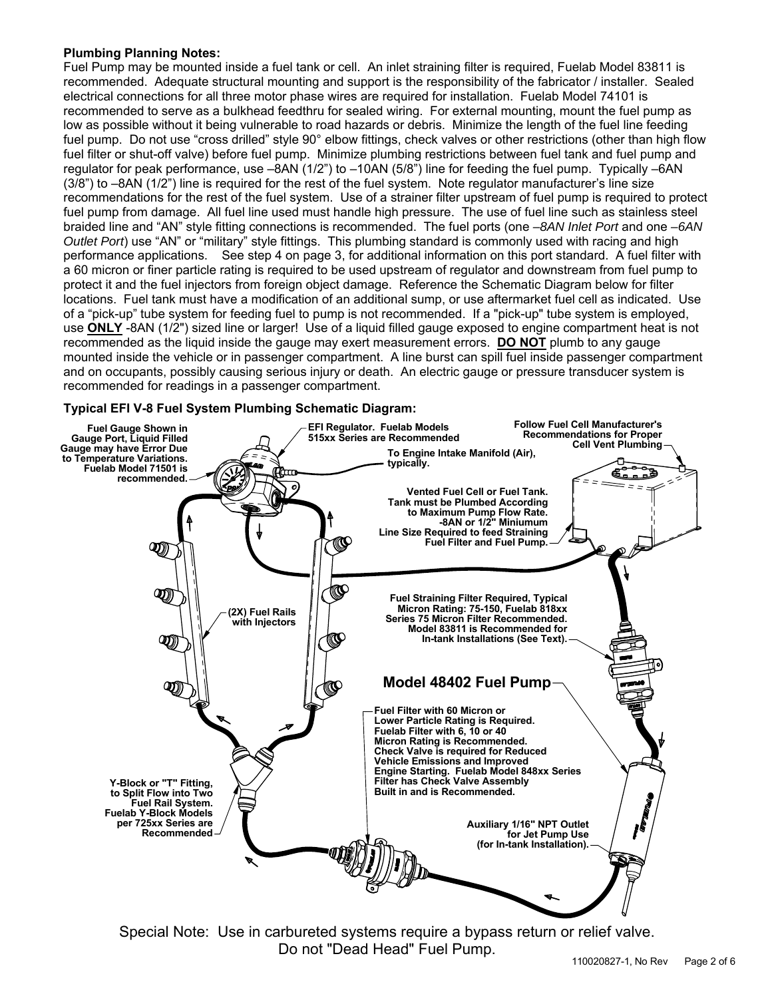#### **Plumbing Planning Notes:**

Fuel Pump may be mounted inside a fuel tank or cell. An inlet straining filter is required, Fuelab Model 83811 is recommended. Adequate structural mounting and support is the responsibility of the fabricator / installer. Sealed electrical connections for all three motor phase wires are required for installation. Fuelab Model 74101 is recommended to serve as a bulkhead feedthru for sealed wiring. For external mounting, mount the fuel pump as low as possible without it being vulnerable to road hazards or debris. Minimize the length of the fuel line feeding fuel pump. Do not use "cross drilled" style 90° elbow fittings, check valves or other restrictions (other than high flow fuel filter or shut-off valve) before fuel pump. Minimize plumbing restrictions between fuel tank and fuel pump and regulator for peak performance, use –8AN (1/2") to –10AN (5/8") line for feeding the fuel pump. Typically –6AN (3/8") to –8AN (1/2") line is required for the rest of the fuel system. Note regulator manufacturer's line size recommendations for the rest of the fuel system. Use of a strainer filter upstream of fuel pump is required to protect fuel pump from damage. All fuel line used must handle high pressure. The use of fuel line such as stainless steel braided line and "AN" style fitting connections is recommended. The fuel ports (one *–8AN Inlet Port* and one *–6AN Outlet Port*) use "AN" or "military" style fittings. This plumbing standard is commonly used with racing and high performance applications. See step 4 on page 3, for additional information on this port standard. A fuel filter with a 60 micron or finer particle rating is required to be used upstream of regulator and downstream from fuel pump to protect it and the fuel injectors from foreign object damage. Reference the Schematic Diagram below for filter locations. Fuel tank must have a modification of an additional sump, or use aftermarket fuel cell as indicated. Use of a "pick-up" tube system for feeding fuel to pump is not recommended. If a "pick-up" tube system is employed, use **ONLY** -8AN (1/2") sized line or larger! Use of a liquid filled gauge exposed to engine compartment heat is not recommended as the liquid inside the gauge may exert measurement errors. **DO NOT** plumb to any gauge mounted inside the vehicle or in passenger compartment. A line burst can spill fuel inside passenger compartment and on occupants, possibly causing serious injury or death. An electric gauge or pressure transducer system is recommended for readings in a passenger compartment.

### **Typical EFI V-8 Fuel System Plumbing Schematic Diagram:**



Special Note: Use in carbureted systems require a bypass return or relief valve. Do not "Dead Head" Fuel Pump.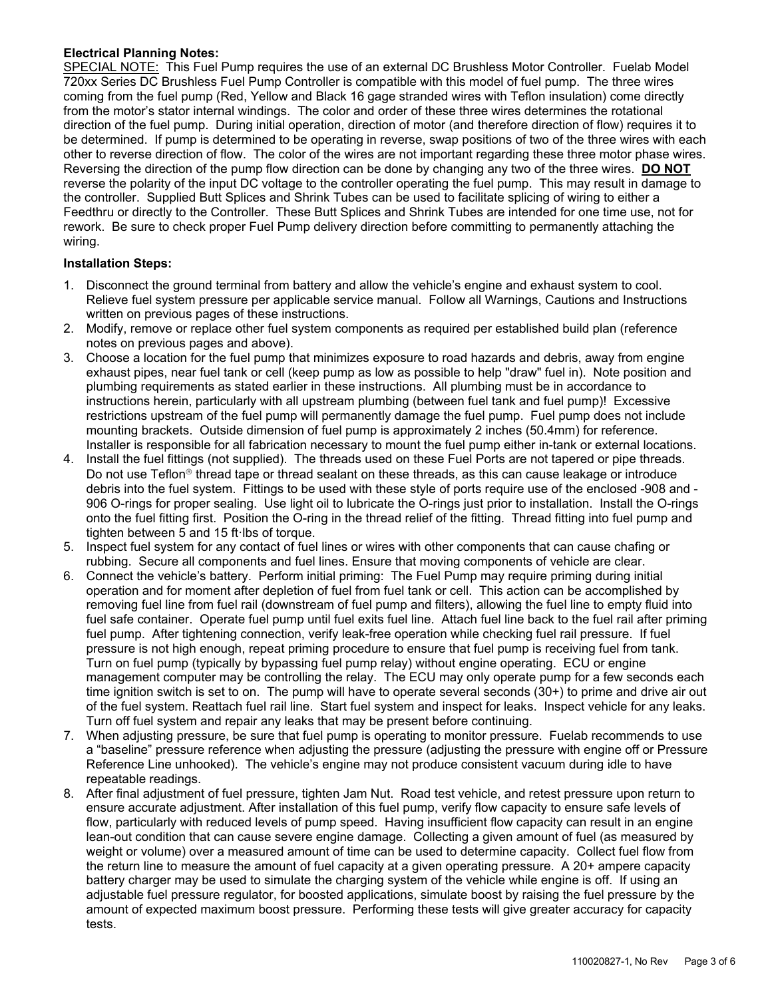### **Electrical Planning Notes:**

SPECIAL NOTE: This Fuel Pump requires the use of an external DC Brushless Motor Controller. Fuelab Model 720xx Series DC Brushless Fuel Pump Controller is compatible with this model of fuel pump. The three wires coming from the fuel pump (Red, Yellow and Black 16 gage stranded wires with Teflon insulation) come directly from the motor's stator internal windings. The color and order of these three wires determines the rotational direction of the fuel pump. During initial operation, direction of motor (and therefore direction of flow) requires it to be determined. If pump is determined to be operating in reverse, swap positions of two of the three wires with each other to reverse direction of flow. The color of the wires are not important regarding these three motor phase wires. Reversing the direction of the pump flow direction can be done by changing any two of the three wires. **DO NOT** reverse the polarity of the input DC voltage to the controller operating the fuel pump. This may result in damage to the controller. Supplied Butt Splices and Shrink Tubes can be used to facilitate splicing of wiring to either a Feedthru or directly to the Controller. These Butt Splices and Shrink Tubes are intended for one time use, not for rework. Be sure to check proper Fuel Pump delivery direction before committing to permanently attaching the wiring.

#### **Installation Steps:**

- 1. Disconnect the ground terminal from battery and allow the vehicle's engine and exhaust system to cool. Relieve fuel system pressure per applicable service manual. Follow all Warnings, Cautions and Instructions written on previous pages of these instructions.
- 2. Modify, remove or replace other fuel system components as required per established build plan (reference notes on previous pages and above).
- 3. Choose a location for the fuel pump that minimizes exposure to road hazards and debris, away from engine exhaust pipes, near fuel tank or cell (keep pump as low as possible to help "draw" fuel in). Note position and plumbing requirements as stated earlier in these instructions. All plumbing must be in accordance to instructions herein, particularly with all upstream plumbing (between fuel tank and fuel pump)! Excessive restrictions upstream of the fuel pump will permanently damage the fuel pump. Fuel pump does not include mounting brackets. Outside dimension of fuel pump is approximately 2 inches (50.4mm) for reference. Installer is responsible for all fabrication necessary to mount the fuel pump either in-tank or external locations.
- 4. Install the fuel fittings (not supplied). The threads used on these Fuel Ports are not tapered or pipe threads. Do not use Teflon<sup>®</sup> thread tape or thread sealant on these threads, as this can cause leakage or introduce debris into the fuel system. Fittings to be used with these style of ports require use of the enclosed -908 and - 906 O-rings for proper sealing. Use light oil to lubricate the O-rings just prior to installation. Install the O-rings onto the fuel fitting first. Position the O-ring in the thread relief of the fitting. Thread fitting into fuel pump and tighten between 5 and 15 ft lbs of torque.
- 5. Inspect fuel system for any contact of fuel lines or wires with other components that can cause chafing or rubbing. Secure all components and fuel lines. Ensure that moving components of vehicle are clear.
- 6. Connect the vehicle's battery. Perform initial priming: The Fuel Pump may require priming during initial operation and for moment after depletion of fuel from fuel tank or cell. This action can be accomplished by removing fuel line from fuel rail (downstream of fuel pump and filters), allowing the fuel line to empty fluid into fuel safe container. Operate fuel pump until fuel exits fuel line. Attach fuel line back to the fuel rail after priming fuel pump. After tightening connection, verify leak-free operation while checking fuel rail pressure. If fuel pressure is not high enough, repeat priming procedure to ensure that fuel pump is receiving fuel from tank. Turn on fuel pump (typically by bypassing fuel pump relay) without engine operating. ECU or engine management computer may be controlling the relay. The ECU may only operate pump for a few seconds each time ignition switch is set to on. The pump will have to operate several seconds (30+) to prime and drive air out of the fuel system. Reattach fuel rail line. Start fuel system and inspect for leaks. Inspect vehicle for any leaks. Turn off fuel system and repair any leaks that may be present before continuing.
- 7. When adjusting pressure, be sure that fuel pump is operating to monitor pressure. Fuelab recommends to use a "baseline" pressure reference when adjusting the pressure (adjusting the pressure with engine off or Pressure Reference Line unhooked). The vehicle's engine may not produce consistent vacuum during idle to have repeatable readings.
- 8. After final adjustment of fuel pressure, tighten Jam Nut. Road test vehicle, and retest pressure upon return to ensure accurate adjustment. After installation of this fuel pump, verify flow capacity to ensure safe levels of flow, particularly with reduced levels of pump speed. Having insufficient flow capacity can result in an engine lean-out condition that can cause severe engine damage. Collecting a given amount of fuel (as measured by weight or volume) over a measured amount of time can be used to determine capacity. Collect fuel flow from the return line to measure the amount of fuel capacity at a given operating pressure. A 20+ ampere capacity battery charger may be used to simulate the charging system of the vehicle while engine is off. If using an adjustable fuel pressure regulator, for boosted applications, simulate boost by raising the fuel pressure by the amount of expected maximum boost pressure. Performing these tests will give greater accuracy for capacity tests.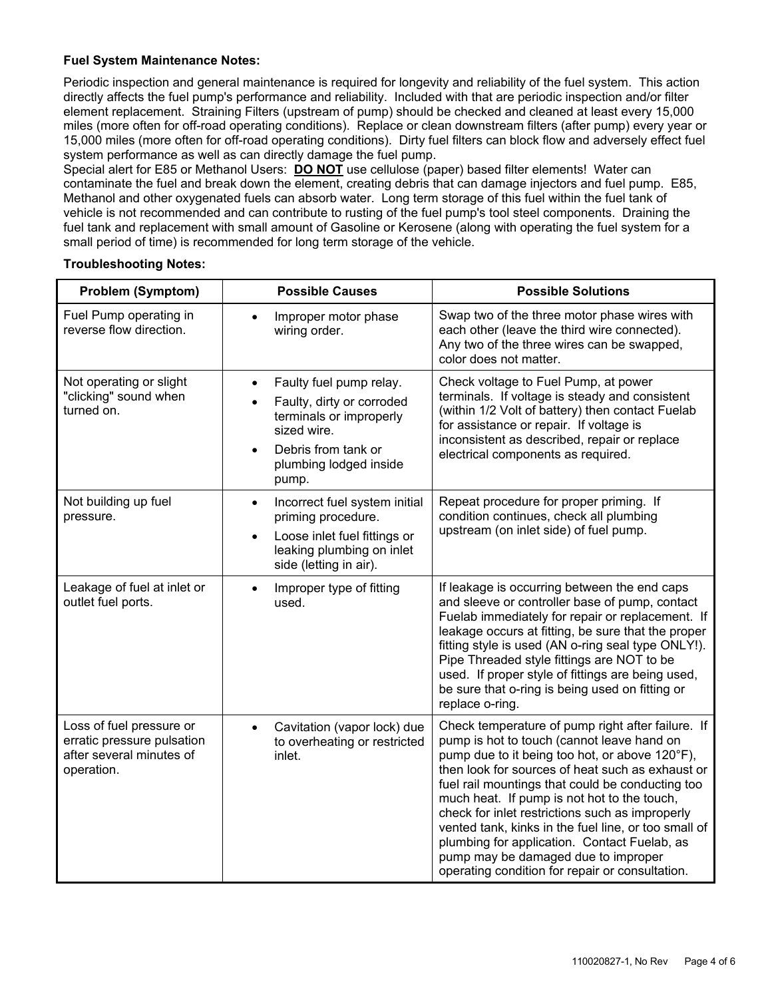#### **Fuel System Maintenance Notes:**

Periodic inspection and general maintenance is required for longevity and reliability of the fuel system. This action directly affects the fuel pump's performance and reliability. Included with that are periodic inspection and/or filter element replacement. Straining Filters (upstream of pump) should be checked and cleaned at least every 15,000 miles (more often for off-road operating conditions). Replace or clean downstream filters (after pump) every year or 15,000 miles (more often for off-road operating conditions). Dirty fuel filters can block flow and adversely effect fuel system performance as well as can directly damage the fuel pump.

Special alert for E85 or Methanol Users: **DO NOT** use cellulose (paper) based filter elements! Water can contaminate the fuel and break down the element, creating debris that can damage injectors and fuel pump. E85, Methanol and other oxygenated fuels can absorb water. Long term storage of this fuel within the fuel tank of vehicle is not recommended and can contribute to rusting of the fuel pump's tool steel components. Draining the fuel tank and replacement with small amount of Gasoline or Kerosene (along with operating the fuel system for a small period of time) is recommended for long term storage of the vehicle.

#### **Troubleshooting Notes:**

| <b>Problem (Symptom)</b>                                                                         | <b>Possible Causes</b>                                                                                                                                                             | <b>Possible Solutions</b>                                                                                                                                                                                                                                                                                                                                                                                                                                                                                                                                     |
|--------------------------------------------------------------------------------------------------|------------------------------------------------------------------------------------------------------------------------------------------------------------------------------------|---------------------------------------------------------------------------------------------------------------------------------------------------------------------------------------------------------------------------------------------------------------------------------------------------------------------------------------------------------------------------------------------------------------------------------------------------------------------------------------------------------------------------------------------------------------|
| Fuel Pump operating in<br>reverse flow direction.                                                | Improper motor phase<br>$\bullet$<br>wiring order.                                                                                                                                 | Swap two of the three motor phase wires with<br>each other (leave the third wire connected).<br>Any two of the three wires can be swapped,<br>color does not matter.                                                                                                                                                                                                                                                                                                                                                                                          |
| Not operating or slight<br>"clicking" sound when<br>turned on.                                   | Faulty fuel pump relay.<br>$\bullet$<br>Faulty, dirty or corroded<br>terminals or improperly<br>sized wire.<br>Debris from tank or<br>$\bullet$<br>plumbing lodged inside<br>pump. | Check voltage to Fuel Pump, at power<br>terminals. If voltage is steady and consistent<br>(within 1/2 Volt of battery) then contact Fuelab<br>for assistance or repair. If voltage is<br>inconsistent as described, repair or replace<br>electrical components as required.                                                                                                                                                                                                                                                                                   |
| Not building up fuel<br>pressure.                                                                | Incorrect fuel system initial<br>$\bullet$<br>priming procedure.<br>Loose inlet fuel fittings or<br>$\bullet$<br>leaking plumbing on inlet<br>side (letting in air).               | Repeat procedure for proper priming. If<br>condition continues, check all plumbing<br>upstream (on inlet side) of fuel pump.                                                                                                                                                                                                                                                                                                                                                                                                                                  |
| Leakage of fuel at inlet or<br>outlet fuel ports.                                                | Improper type of fitting<br>$\bullet$<br>used.                                                                                                                                     | If leakage is occurring between the end caps<br>and sleeve or controller base of pump, contact<br>Fuelab immediately for repair or replacement. If<br>leakage occurs at fitting, be sure that the proper<br>fitting style is used (AN o-ring seal type ONLY!).<br>Pipe Threaded style fittings are NOT to be<br>used. If proper style of fittings are being used,<br>be sure that o-ring is being used on fitting or<br>replace o-ring.                                                                                                                       |
| Loss of fuel pressure or<br>erratic pressure pulsation<br>after several minutes of<br>operation. | Cavitation (vapor lock) due<br>$\bullet$<br>to overheating or restricted<br>inlet.                                                                                                 | Check temperature of pump right after failure. If<br>pump is hot to touch (cannot leave hand on<br>pump due to it being too hot, or above 120°F),<br>then look for sources of heat such as exhaust or<br>fuel rail mountings that could be conducting too<br>much heat. If pump is not hot to the touch,<br>check for inlet restrictions such as improperly<br>vented tank, kinks in the fuel line, or too small of<br>plumbing for application. Contact Fuelab, as<br>pump may be damaged due to improper<br>operating condition for repair or consultation. |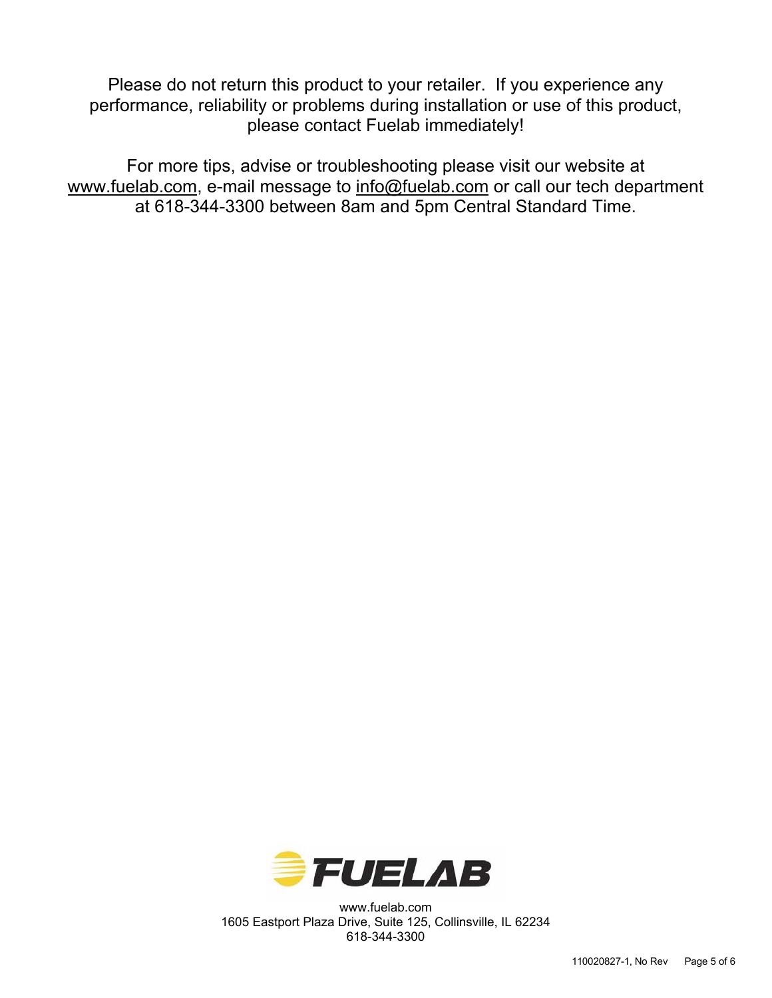Please do not return this product to your retailer. If you experience any performance, reliability or problems during installation or use of this product, please contact Fuelab immediately!

For more tips, advise or troubleshooting please visit our website at www.fuelab.com, e-mail message to info@fuelab.com or call our tech department at 618-344-3300 between 8am and 5pm Central Standard Time.



www.fuelab.com 1605 Eastport Plaza Drive, Suite 125, Collinsville, IL 62234 618-344-3300